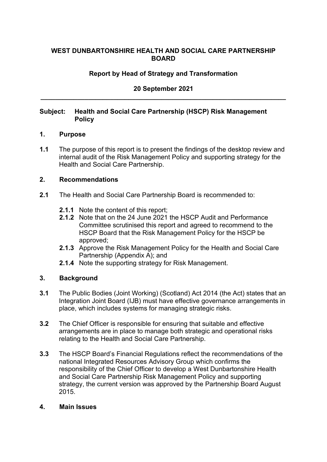## **WEST DUNBARTONSHIRE HEALTH AND SOCIAL CARE PARTNERSHIP BOARD**

# **Report by Head of Strategy and Transformation**

## **20 September 2021 \_\_\_\_\_\_\_\_\_\_\_\_\_\_\_\_\_\_\_\_\_\_\_\_\_\_\_\_\_\_\_\_\_\_\_\_\_\_\_\_\_\_\_\_\_\_\_\_\_\_\_\_\_\_\_\_\_\_\_\_\_\_\_\_\_\_\_**

### **Subject: Health and Social Care Partnership (HSCP) Risk Management Policy**

#### **1. Purpose**

**1.1** The purpose of this report is to present the findings of the desktop review and internal audit of the Risk Management Policy and supporting strategy for the Health and Social Care Partnership.

#### **2. Recommendations**

- **2.1** The Health and Social Care Partnership Board is recommended to:
	- **2.1.1** Note the content of this report;
	- **2.1.2** Note that on the 24 June 2021 the HSCP Audit and Performance Committee scrutinised this report and agreed to recommend to the HSCP Board that the Risk Management Policy for the HSCP be approved;
	- **2.1.3** Approve the Risk Management Policy for the Health and Social Care Partnership (Appendix A); and
	- **2.1.4** Note the supporting strategy for Risk Management.

### **3. Background**

- **3.1** The Public Bodies (Joint Working) (Scotland) Act 2014 (the Act) states that an Integration Joint Board (IJB) must have effective governance arrangements in place, which includes systems for managing strategic risks.
- **3.2** The Chief Officer is responsible for ensuring that suitable and effective arrangements are in place to manage both strategic and operational risks relating to the Health and Social Care Partnership.
- **3.3** The HSCP Board's Financial Regulations reflect the recommendations of the national Integrated Resources Advisory Group which confirms the responsibility of the Chief Officer to develop a West Dunbartonshire Health and Social Care Partnership Risk Management Policy and supporting strategy, the current version was approved by the Partnership Board August 2015.

#### **4. Main Issues**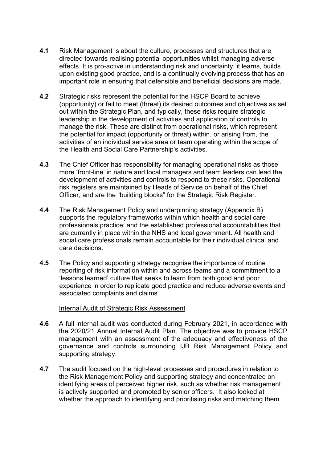- **4.1** Risk Management is about the culture, processes and structures that are directed towards realising potential opportunities whilst managing adverse effects. It is pro-active in understanding risk and uncertainty, it learns, builds upon existing good practice, and is a continually evolving process that has an important role in ensuring that defensible and beneficial decisions are made.
- **4.2** Strategic risks represent the potential for the HSCP Board to achieve (opportunity) or fail to meet (threat) its desired outcomes and objectives as set out within the Strategic Plan, and typically, these risks require strategic leadership in the development of activities and application of controls to manage the risk. These are distinct from operational risks, which represent the potential for impact (opportunity or threat) within, or arising from, the activities of an individual service area or team operating within the scope of the Health and Social Care Partnership's activities.
- **4.3** The Chief Officer has responsibility for managing operational risks as those more 'front-line' in nature and local managers and team leaders can lead the development of activities and controls to respond to these risks. Operational risk registers are maintained by Heads of Service on behalf of the Chief Officer; and are the "building blocks" for the Strategic Risk Register.
- **4.4** The Risk Management Policy and underpinning strategy (Appendix B) supports the regulatory frameworks within which health and social care professionals practice; and the established professional accountabilities that are currently in place within the NHS and local government. All health and social care professionals remain accountable for their individual clinical and care decisions.
- **4.5** The Policy and supporting strategy recognise the importance of routine reporting of risk information within and across teams and a commitment to a 'lessons learned' culture that seeks to learn from both good and poor experience in order to replicate good practice and reduce adverse events and associated complaints and claims

#### Internal Audit of Strategic Risk Assessment

- **4.6** A full internal audit was conducted during February 2021, in accordance with the 2020/21 Annual Internal Audit Plan. The objective was to provide HSCP management with an assessment of the adequacy and effectiveness of the governance and controls surrounding IJB Risk Management Policy and supporting strategy.
- **4.7** The audit focused on the high-level processes and procedures in relation to the Risk Management Policy and supporting strategy and concentrated on identifying areas of perceived higher risk, such as whether risk management is actively supported and promoted by senior officers. It also looked at whether the approach to identifying and prioritising risks and matching them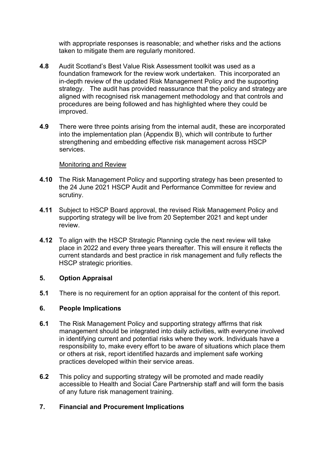with appropriate responses is reasonable; and whether risks and the actions taken to mitigate them are regularly monitored.

- **4.8** Audit Scotland's Best Value Risk Assessment toolkit was used as a foundation framework for the review work undertaken. This incorporated an in-depth review of the updated Risk Management Policy and the supporting strategy. The audit has provided reassurance that the policy and strategy are aligned with recognised risk management methodology and that controls and procedures are being followed and has highlighted where they could be improved.
- **4.9** There were three points arising from the internal audit, these are incorporated into the implementation plan (Appendix B), which will contribute to further strengthening and embedding effective risk management across HSCP services.

#### Monitoring and Review

- **4.10** The Risk Management Policy and supporting strategy has been presented to the 24 June 2021 HSCP Audit and Performance Committee for review and scrutiny.
- **4.11** Subject to HSCP Board approval, the revised Risk Management Policy and supporting strategy will be live from 20 September 2021 and kept under review.
- **4.12** To align with the HSCP Strategic Planning cycle the next review will take place in 2022 and every three years thereafter. This will ensure it reflects the current standards and best practice in risk management and fully reflects the HSCP strategic priorities.

### **5. Option Appraisal**

**5.1** There is no requirement for an option appraisal for the content of this report.

### **6. People Implications**

- **6.1** The Risk Management Policy and supporting strategy affirms that risk management should be integrated into daily activities, with everyone involved in identifying current and potential risks where they work. Individuals have a responsibility to, make every effort to be aware of situations which place them or others at risk, report identified hazards and implement safe working practices developed within their service areas.
- **6.2** This policy and supporting strategy will be promoted and made readily accessible to Health and Social Care Partnership staff and will form the basis of any future risk management training.

## **7. Financial and Procurement Implications**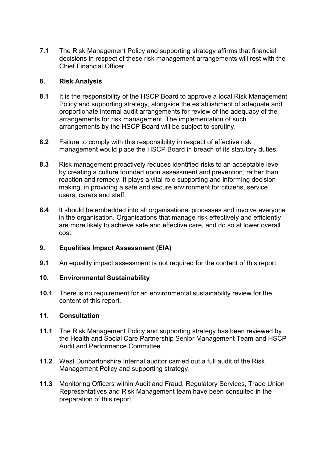**7.1** The Risk Management Policy and supporting strategy affirms that financial decisions in respect of these risk management arrangements will rest with the Chief Financial Officer.

## **8. Risk Analysis**

- **8.1** It is the responsibility of the HSCP Board to approve a local Risk Management Policy and supporting strategy, alongside the establishment of adequate and proportionate internal audit arrangements for review of the adequacy of the arrangements for risk management. The implementation of such arrangements by the HSCP Board will be subject to scrutiny.
- **8.2** Failure to comply with this responsibility in respect of effective risk management would place the HSCP Board in breach of its statutory duties.
- **8.3** Risk management proactively reduces identified risks to an acceptable level by creating a culture founded upon assessment and prevention, rather than reaction and remedy. It plays a vital role supporting and informing decision making, in providing a safe and secure environment for citizens, service users, carers and staff.
- **8.4** It should be embedded into all organisational processes and involve everyone in the organisation. Organisations that manage risk effectively and efficiently are more likely to achieve safe and effective care, and do so at lower overall cost.

# **9. Equalities Impact Assessment (EIA)**

**9.1** An equality impact assessment is not required for the content of this report.

# **10. Environmental Sustainability**

**10.1** There is no requirement for an environmental sustainability review for the content of this report.

## **11. Consultation**

- **11.1** The Risk Management Policy and supporting strategy has been reviewed by the Health and Social Care Partnership Senior Management Team and HSCP Audit and Performance Committee.
- **11.2** West Dunbartonshire Internal auditor carried out a full audit of the Risk Management Policy and supporting strategy.
- **11.3** Monitoring Officers within Audit and Fraud, Regulatory Services, Trade Union Representatives and Risk Management team have been consulted in the preparation of this report.